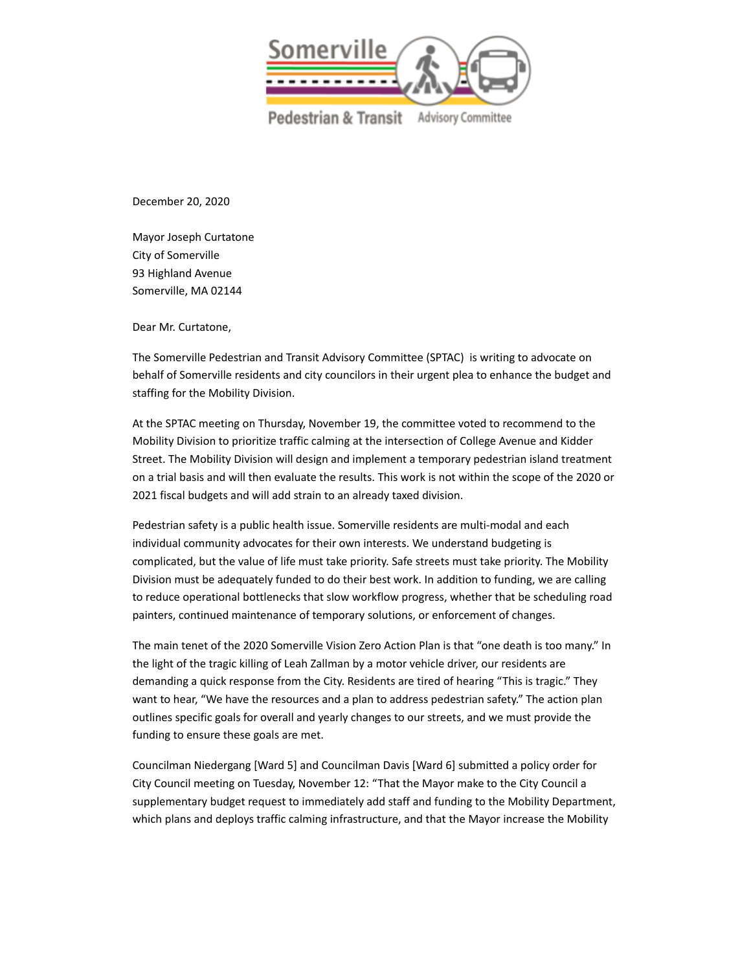

Pedestrian & Transit Advisory Committee

December 20, 2020

Mayor Joseph Curtatone City of Somerville 93 Highland Avenue Somerville, MA 02144

Dear Mr. Curtatone,

The Somerville Pedestrian and Transit Advisory Committee (SPTAC) is writing to advocate on behalf of Somerville residents and city councilors in their urgent plea to enhance the budget and staffing for the Mobility Division.

At the SPTAC meeting on Thursday, November 19, the committee voted to recommend to the Mobility Division to prioritize traffic calming at the intersection of College Avenue and Kidder Street. The Mobility Division will design and implement a temporary pedestrian island treatment on a trial basis and will then evaluate the results. This work is not within the scope of the 2020 or 2021 fiscal budgets and will add strain to an already taxed division.

Pedestrian safety is a public health issue. Somerville residents are multi-modal and each individual community advocates for their own interests. We understand budgeting is complicated, but the value of life must take priority. Safe streets must take priority. The Mobility Division must be adequately funded to do their best work. In addition to funding, we are calling to reduce operational bottlenecks that slow workflow progress, whether that be scheduling road painters, continued maintenance of temporary solutions, or enforcement of changes.

The main tenet of the 2020 Somerville Vision Zero Action Plan is that "one death is too many." In the light of the tragic killing of Leah Zallman by a motor vehicle driver, our residents are demanding a quick response from the City. Residents are tired of hearing "This is tragic." They want to hear, "We have the resources and a plan to address pedestrian safety." The action plan outlines specific goals for overall and yearly changes to our streets, and we must provide the funding to ensure these goals are met.

Councilman Niedergang [Ward 5] and Councilman Davis [Ward 6] submitted a policy order for City Council meeting on Tuesday, November 12: "That the Mayor make to the City Council a supplementary budget request to immediately add staff and funding to the Mobility Department, which plans and deploys traffic calming infrastructure, and that the Mayor increase the Mobility